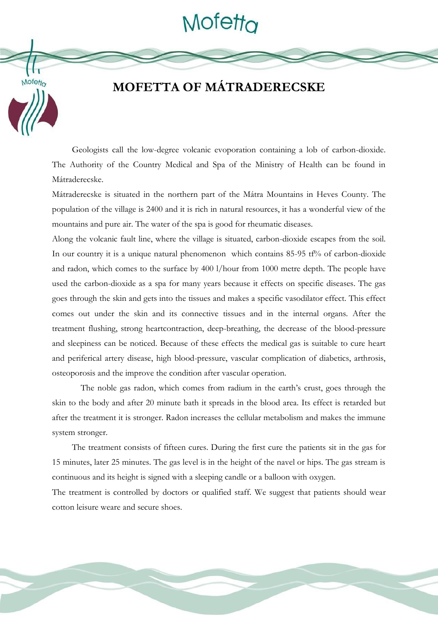# Mofetta



## **MOFETTA OF MÁTRADERECSKE**

Geologists call the low-degree volcanic evoporation containing a lob of carbon-dioxide. The Authority of the Country Medical and Spa of the Ministry of Health can be found in Mátraderecske.

Mátraderecske is situated in the northern part of the Mátra Mountains in Heves County. The population of the village is 2400 and it is rich in natural resources, it has a wonderful view of the mountains and pure air. The water of the spa is good for rheumatic diseases.

Along the volcanic fault line, where the village is situated, carbon-dioxide escapes from the soil. In our country it is a unique natural phenomenon which contains  $85-95$  tf% of carbon-dioxide and radon, which comes to the surface by 400 l/hour from 1000 metre depth. The people have used the carbon-dioxide as a spa for many years because it effects on specific diseases. The gas goes through the skin and gets into the tissues and makes a specific vasodilator effect. This effect comes out under the skin and its connective tissues and in the internal organs. After the treatment flushing, strong heartcontraction, deep-breathing, the decrease of the blood-pressure and sleepiness can be noticed. Because of these effects the medical gas is suitable to cure heart and periferical artery disease, high blood-pressure, vascular complication of diabetics, arthrosis, osteoporosis and the improve the condition after vascular operation.

The noble gas radon, which comes from radium in the earth's crust, goes through the skin to the body and after 20 minute bath it spreads in the blood area. Its effect is retarded but after the treatment it is stronger. Radon increases the cellular metabolism and makes the immune system stronger.

The treatment consists of fifteen cures. During the first cure the patients sit in the gas for 15 minutes, later 25 minutes. The gas level is in the height of the navel or hips. The gas stream is continuous and its height is signed with a sleeping candle or a balloon with oxygen.

The treatment is controlled by doctors or qualified staff. We suggest that patients should wear cotton leisure weare and secure shoes.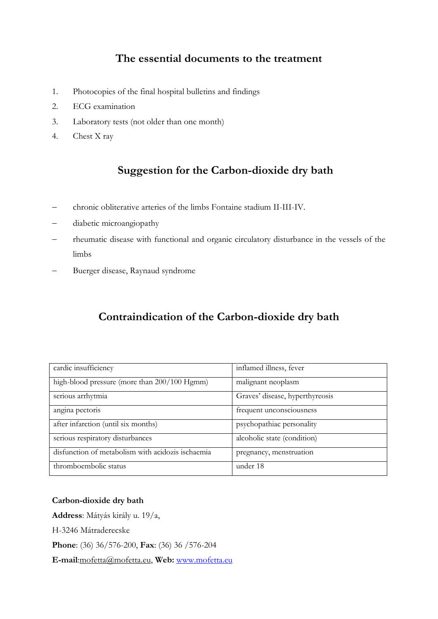#### **The essential documents to the treatment**

- 1. Photocopies of the final hospital bulletins and findings
- 2. ECG examination
- 3. Laboratory tests (not older than one month)
- 4. Chest X ray

#### **Suggestion for the Carbon-dioxide dry bath**

- chronic obliterative arteries of the limbs Fontaine stadium II-III-IV.
- diabetic microangiopathy
- rheumatic disease with functional and organic circulatory disturbance in the vessels of the limbs
- Buerger disease, Raynaud syndrome

### **Contraindication of the Carbon-dioxide dry bath**

| cardic insufficiency                              | inflamed illness, fever         |
|---------------------------------------------------|---------------------------------|
| high-blood pressure (more than 200/100 Hgmm)      | malignant neoplasm              |
| serious arrhytmia                                 | Graves' disease, hyperthyreosis |
| angina pectoris                                   | frequent unconsciousness        |
| after infarction (until six months)               | psychopathiac personality       |
| serious respiratory disturbances                  | alcoholic state (condition)     |
| disfunction of metabolism with acidozis ischaemia | pregnancy, menstruation         |
| thromboembolic status                             | under 18                        |

#### **Carbon-dioxide dry bath**

**Address**: Mátyás király u. 19/a, H-3246 Mátraderecske **Phone**: (36) 36/576-200, **Fax**: (36) 36 /576-204 **E-mail**:mofetta@mofetta.eu, **Web:** [www.mofetta.eu](http://www.mofetta.eu/)